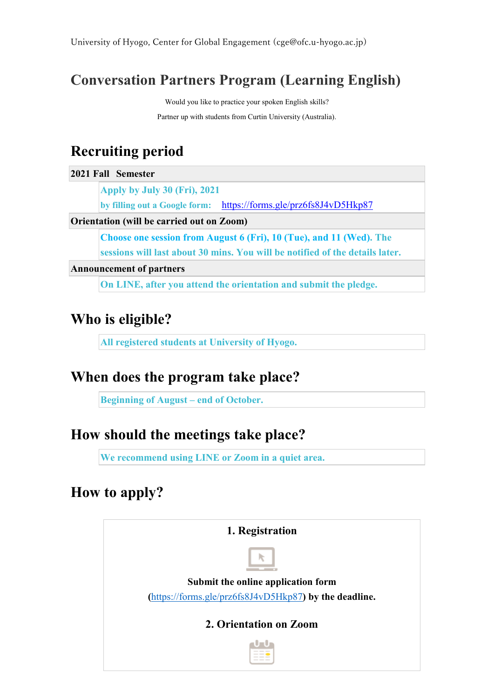#### **Conversation Partners Program (Learning English)**

Would you like to practice your spoken English skills?

Partner up with students from Curtin University (Australia).

# **Recruiting period**

**2021 Fall Semester**

**Apply by July 30 (Fri), 2021**

**by filling out a Google form:** <https://forms.gle/prz6fs8J4vD5Hkp87>

#### **Orientation (will be carried out on Zoom)**

**Choose one session from August 6 (Fri), 10 (Tue), and 11 (Wed). The** 

**sessions will last about 30 mins. You will be notified of the details later.** 

**Announcement of partners**

**On LINE, after you attend the orientation and submit the pledge.**

## **Who is eligible?**

**All registered students at University of Hyogo.**

#### **When does the program take place?**

**Beginning of August – end of October.**

#### **How should the meetings take place?**

**We recommend using LINE or Zoom in a quiet area.** 

## **How to apply?**